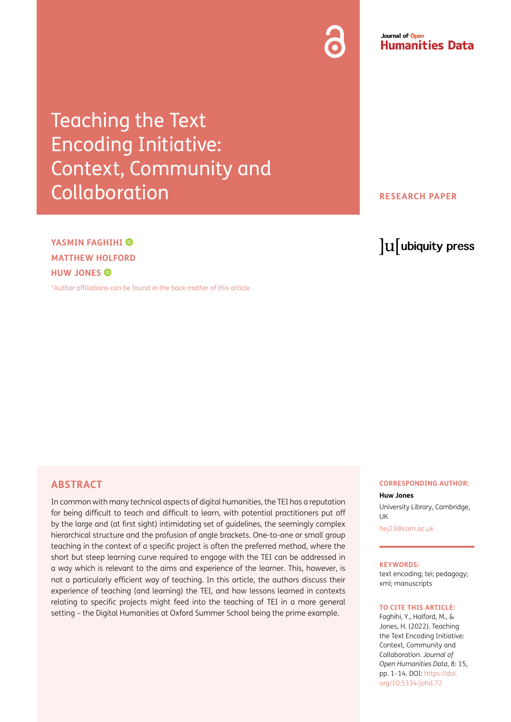#### Journal of Open **Humanities Data**

Teaching the Text Encoding Initiative: Context, Community and **Collaboration** 

#### **RESEARCH PAPER**

## **YASMIN FAGHIHI MATTHEW HOLFORD HUW JONES**

[\\*Author affiliations can be found in the back matter of this article](#page-12-0)

# lu ubiquity press

### **ABSTRACT**

In common with many technical aspects of digital humanities, the TEI has a reputation for being difficult to teach and difficult to learn, with potential practitioners put off by the large and (at first sight) intimidating set of guidelines, the seemingly complex hierarchical structure and the profusion of angle brackets. One-to-one or small group teaching in the context of a specific project is often the preferred method, where the short but steep learning curve required to engage with the TEI can be addressed in a way which is relevant to the aims and experience of the learner. This, however, is not a particularly efficient way of teaching. In this article, the authors discuss their experience of teaching (and learning) the TEI, and how lessons learned in contexts relating to specific projects might feed into the teaching of TEI in a more general setting – the Digital Humanities at Oxford Summer School being the prime example.

#### **CORRESPONDING AUTHOR:**

#### **Huw Jones**

University Library, Cambridge, **I** IK

[hej23@cam.ac.uk](mailto:hej23@cam.ac.uk)

#### **KEYWORDS:**

text encoding; tei; pedagogy; xml; manuscripts

#### **TO CITE THIS ARTICLE:**

Faghihi, Y., Holford, M., & Jones, H. (2022). Teaching the Text Encoding Initiative: Context, Community and Collaboration. *Journal of Open Humanities Data*, 8: 15, pp. 1–14. DOI: [https://doi.](https://doi.org/10.5334/johd.72) [org/10.5334/johd.72](https://doi.org/10.5334/johd.72)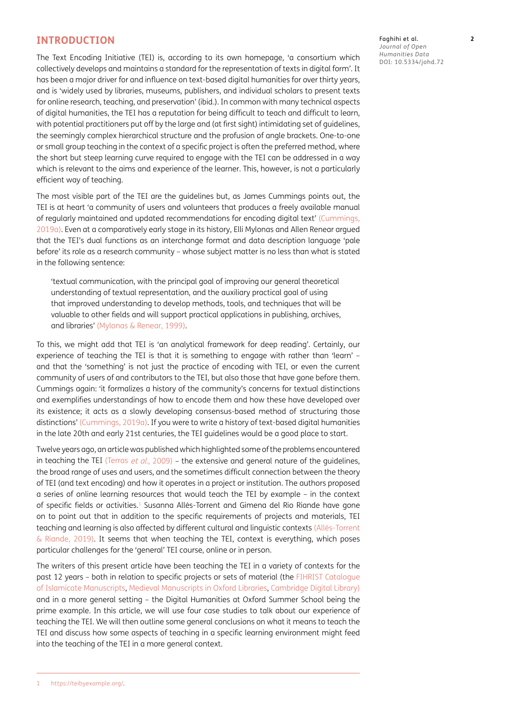#### **INTRODUCTION**

The Text Encoding Initiative (TEI) is, according to its own homepage, 'a consortium which collectively develops and maintains a standard for the representation of texts in digital form'. It has been a major driver for and influence on text-based digital humanities for over thirty years, and is 'widely used by libraries, museums, publishers, and individual scholars to present texts for online research, teaching, and preservation' (ibid.). In common with many technical aspects of digital humanities, the TEI has a reputation for being difficult to teach and difficult to learn, with potential practitioners put off by the large and (at first sight) intimidating set of guidelines, the seemingly complex hierarchical structure and the profusion of angle brackets. One-to-one or small group teaching in the context of a specific project is often the preferred method, where the short but steep learning curve required to engage with the TEI can be addressed in a way which is relevant to the aims and experience of the learner. This, however, is not a particularly efficient way of teaching.

The most visible part of the TEI are the guidelines but, as James Cummings points out, the TEI is at heart 'a community of users and volunteers that produces a freely available manual of regularly maintained and updated recommendations for encoding digital text' [\(Cummings,](#page-12-1)  [2019a](#page-12-1)). Even at a comparatively early stage in its history, Elli Mylonas and Allen Renear argued that the TEI's dual functions as an interchange format and data description language 'pale before' its role as a research community – whose subject matter is no less than what is stated in the following sentence:

'textual communication, with the principal goal of improving our general theoretical understanding of textual representation, and the auxiliary practical goal of using that improved understanding to develop methods, tools, and techniques that will be valuable to other fields and will support practical applications in publishing, archives, and libraries' ([Mylonas & Renear, 1999\)](#page-13-0).

To this, we might add that TEI is 'an analytical framework for deep reading'. Certainly, our experience of teaching the TEI is that it is something to engage with rather than 'learn' and that the 'something' is not just the practice of encoding with TEI, or even the current community of users of and contributors to the TEI, but also those that have gone before them. Cummings again: 'it formalizes a history of the community's concerns for textual distinctions and exemplifies understandings of how to encode them and how these have developed over its existence; it acts as a slowly developing consensus-based method of structuring those distinctions' ([Cummings, 2019a\)](#page-12-1). If you were to write a history of text-based digital humanities in the late 20th and early 21st centuries, the TEI guidelines would be a good place to start.

Twelve years ago, an article was published which highlighted some of the problems encountered in teaching the TEI (Terras et al[., 2009](#page-13-1)) – the extensive and general nature of the quidelines, the broad range of uses and users, and the sometimes difficult connection between the theory of TEI (and text encoding) and how it operates in a project or institution. The authors proposed a series of online learning resources that would teach the TEI by example – in the context of specific fields or activities[.1](#page-1-0) Susanna Allés-Torrent and Gimena del Rio Riande have gone on to point out that in addition to the specific requirements of projects and materials, TEI teaching and learning is also affected by different cultural and linguistic contexts (Allés-Torrent & Riande, 2019). It seems that when teaching the TEI, context is everything, which poses particular challenges for the 'general' TEI course, online or in person.

<span id="page-1-0"></span>The writers of this present article have been teaching the TEI in a variety of contexts for the past 12 years – both in relation to specific projects or sets of material (the [FIHRIST Catalogue](#page-13-2)  [of Islamicate Manuscripts,](#page-13-2) [Medieval Manuscripts in Oxford Libraries](#page-13-3), Cambridge Digital Library) and in a more general setting – the Digital Humanities at Oxford Summer School being the prime example. In this article, we will use four case studies to talk about our experience of teaching the TEI. We will then outline some general conclusions on what it means to teach the TEI and discuss how some aspects of teaching in a specific learning environment might feed into the teaching of the TEI in a more general context.

Faghihi et al. **2** *Journal of Open Humanities Data* DOI: 10.5334/johd.72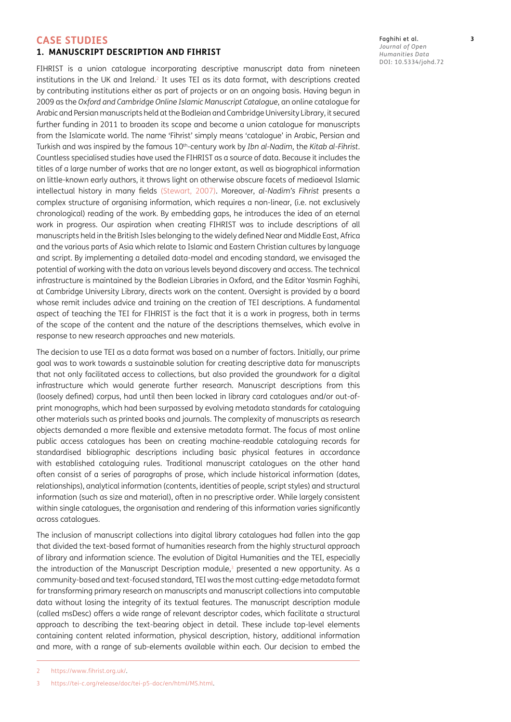#### **CASE STUDIES**

#### **1. MANUSCRIPT DESCRIPTION AND FIHRIST**

FIHRIST is a union catalogue incorporating descriptive manuscript data from nineteen institutions in the UK and Ireland.<sup>2</sup> It uses TEI as its data format, with descriptions created by contributing institutions either as part of projects or on an ongoing basis. Having begun in 2009 as the *Oxford and Cambridge Online Islamic Manuscript Catalogue*, an online catalogue for Arabic and Persian manuscripts held at the Bodleian and Cambridge University Library, it secured further funding in 2011 to broaden its scope and become a union catalogue for manuscripts from the Islamicate world. The name 'Fihrist' simply means 'catalogue' in Arabic, Persian and Turkish and was inspired by the famous 10th-century work by *Ibn al-Nadim*, the *Kitab al-Fihrist*. Countless specialised studies have used the FIHRIST as a source of data. Because it includes the titles of a large number of works that are no longer extant, as well as biographical information on little-known early authors, it throws light on otherwise obscure facets of mediaeval Islamic intellectual history in many fields [\(Stewart, 2007\)](#page-13-4). Moreover, *al-Nadim's Fihrist* presents a complex structure of organising information, which requires a non-linear, (i.e. not exclusively chronological) reading of the work. By embedding gaps, he introduces the idea of an eternal work in progress. Our aspiration when creating FIHRIST was to include descriptions of all manuscripts held in the British Isles belonging to the widely defined Near and Middle East, Africa and the various parts of Asia which relate to Islamic and Eastern Christian cultures by language and script. By implementing a detailed data-model and encoding standard, we envisaged the potential of working with the data on various levels beyond discovery and access. The technical infrastructure is maintained by the Bodleian Libraries in Oxford, and the Editor Yasmin Faghihi, at Cambridge University Library, directs work on the content. Oversight is provided by a board whose remit includes advice and training on the creation of TEI descriptions. A fundamental aspect of teaching the TEI for FIHRIST is the fact that it is a work in progress, both in terms of the scope of the content and the nature of the descriptions themselves, which evolve in response to new research approaches and new materials.

The decision to use TEI as a data format was based on a number of factors. Initially, our prime goal was to work towards a sustainable solution for creating descriptive data for manuscripts that not only facilitated access to collections, but also provided the groundwork for a digital infrastructure which would generate further research. Manuscript descriptions from this (loosely defined) corpus, had until then been locked in library card catalogues and/or out-ofprint monographs, which had been surpassed by evolving metadata standards for cataloguing other materials such as printed books and journals. The complexity of manuscripts as research objects demanded a more flexible and extensive metadata format. The focus of most online public access catalogues has been on creating machine-readable cataloguing records for standardised bibliographic descriptions including basic physical features in accordance with established cataloguing rules. Traditional manuscript catalogues on the other hand often consist of a series of paragraphs of prose, which include historical information (dates, relationships), analytical information (contents, identities of people, script styles) and structural information (such as size and material), often in no prescriptive order. While largely consistent within single catalogues, the organisation and rendering of this information varies significantly across catalogues.

The inclusion of manuscript collections into digital library catalogues had fallen into the gap that divided the text-based format of humanities research from the highly structural approach of library and information science. The evolution of Digital Humanities and the TEI, especially the introduction of the Manuscript Description module, $3$  presented a new opportunity. As a community-based and text-focused standard, TEI was the most cutting-edge metadata format for transforming primary research on manuscripts and manuscript collections into computable data without losing the integrity of its textual features. The manuscript description module (called msDesc) offers a wide range of relevant descriptor codes, which facilitate a structural approach to describing the text-bearing object in detail. These include top-level elements containing content related information, physical description, history, additional information and more, with a range of sub-elements available within each. Our decision to embed the Faghihi et al. **3** *Journal of Open Humanities Data* DOI: 10.5334/johd.72

<span id="page-2-0"></span><sup>2</sup> [https://www.fihrist.org.uk/.](https://www.fihrist.org.uk/)

<span id="page-2-1"></span><sup>3</sup> <https://tei-c.org/release/doc/tei-p5-doc/en/html/MS.html>.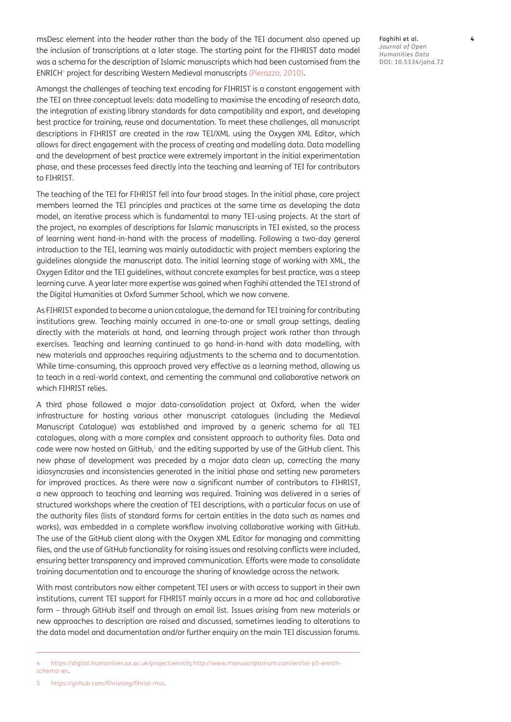msDesc element into the header rather than the body of the TEI document also opened up the inclusion of transcriptions at a later stage. The starting point for the FIHRIST data model was a schema for the description of Islamic manuscripts which had been customised from the ENRICH[4](#page-3-0) project for describing Western Medieval manuscripts [\(Pierazzo, 2010\)](#page-13-5).

Amongst the challenges of teaching text encoding for FIHRIST is a constant engagement with the TEI on three conceptual levels: data modelling to maximise the encoding of research data, the integration of existing library standards for data compatibility and export, and developing best practice for training, reuse and documentation. To meet these challenges, all manuscript descriptions in FIHRIST are created in the raw TEI/XML using the Oxygen XML Editor, which allows for direct engagement with the process of creating and modelling data. Data modelling and the development of best practice were extremely important in the initial experimentation phase, and these processes feed directly into the teaching and learning of TEI for contributors to FIHRIST.

The teaching of the TEI for FIHRIST fell into four broad stages. In the initial phase, core project members learned the TEI principles and practices at the same time as developing the data model, an iterative process which is fundamental to many TEI-using projects. At the start of the project, no examples of descriptions for Islamic manuscripts in TEI existed, so the process of learning went hand-in-hand with the process of modelling. Following a two-day general introduction to the TEI, learning was mainly autodidactic with project members exploring the guidelines alongside the manuscript data. The initial learning stage of working with XML, the Oxygen Editor and the TEI guidelines, without concrete examples for best practice, was a steep learning curve. A year later more expertise was gained when Faghihi attended the TEI strand of the Digital Humanities at Oxford Summer School, which we now convene.

As FIHRIST expanded to become a union catalogue, the demand for TEI training for contributing institutions grew. Teaching mainly occurred in one-to-one or small group settings, dealing directly with the materials at hand, and learning through project work rather than through exercises. Teaching and learning continued to go hand-in-hand with data modelling, with new materials and approaches requiring adjustments to the schema and to documentation. While time-consuming, this approach proved very effective as a learning method, allowing us to teach in a real-world context, and cementing the communal and collaborative network on which FIHRIST relies.

A third phase followed a major data-consolidation project at Oxford, when the wider infrastructure for hosting various other manuscript catalogues (including the Medieval Manuscript Catalogue) was established and improved by a generic schema for all TEI catalogues, along with a more complex and consistent approach to authority files. Data and code were now hosted on GitHub, $5$  and the editing supported by use of the GitHub client. This new phase of development was preceded by a major data clean up, correcting the many idiosyncrasies and inconsistencies generated in the initial phase and setting new parameters for improved practices. As there were now a significant number of contributors to FIHRIST, a new approach to teaching and learning was required. Training was delivered in a series of structured workshops where the creation of TEI descriptions, with a particular focus on use of the authority files (lists of standard forms for certain entities in the data such as names and works), was embedded in a complete workflow involving collaborative working with GitHub. The use of the GitHub client along with the Oxygen XML Editor for managing and committing files, and the use of GitHub functionality for raising issues and resolving conflicts were included, ensuring better transparency and improved communication. Efforts were made to consolidate training documentation and to encourage the sharing of knowledge across the network.

With most contributors now either competent TEI users or with access to support in their own institutions, current TEI support for FIHRIST mainly occurs in a more ad hoc and collaborative form – through GitHub itself and through an email list. Issues arising from new materials or new approaches to description are raised and discussed, sometimes leading to alterations to the data model and documentation and/or further enquiry on the main TEI discussion forums. Faghihi et al. **4** *Journal of Open Humanities Data* DOI: 10.5334/johd.72

<span id="page-3-1"></span><span id="page-3-0"></span><sup>4</sup> <https://digital.humanities.ox.ac.uk/project/enrich>; [http://www.manuscriptorium.com/en/tei-p5-enrich](http://www.manuscriptorium.com/en/tei-p5-enrich-schema-en)[schema-en.](http://www.manuscriptorium.com/en/tei-p5-enrich-schema-en)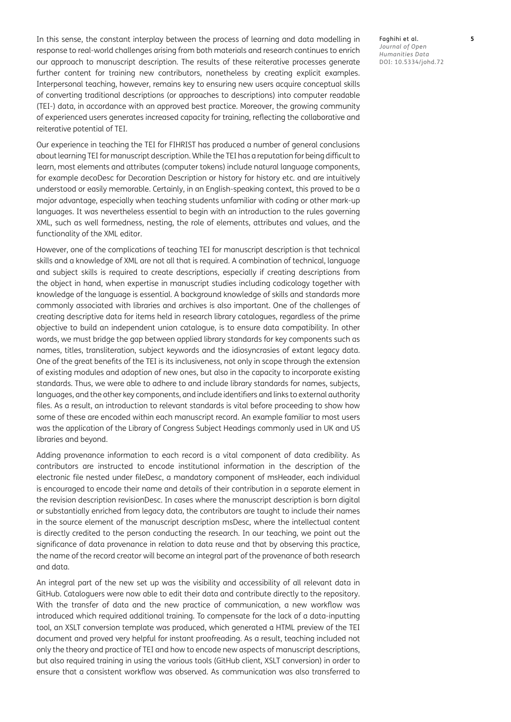In this sense, the constant interplay between the process of learning and data modelling in response to real-world challenges arising from both materials and research continues to enrich our approach to manuscript description. The results of these reiterative processes generate further content for training new contributors, nonetheless by creating explicit examples. Interpersonal teaching, however, remains key to ensuring new users acquire conceptual skills of converting traditional descriptions (or approaches to descriptions) into computer readable (TEI-) data, in accordance with an approved best practice. Moreover, the growing community of experienced users generates increased capacity for training, reflecting the collaborative and reiterative potential of TEI.

Our experience in teaching the TEI for FIHRIST has produced a number of general conclusions about learning TEI for manuscript description. While the TEI has a reputation for being difficult to learn, most elements and attributes (computer tokens) include natural language components, for example decoDesc for Decoration Description or history for history etc. and are intuitively understood or easily memorable. Certainly, in an English-speaking context, this proved to be a major advantage, especially when teaching students unfamiliar with coding or other mark-up languages. It was nevertheless essential to begin with an introduction to the rules governing XML, such as well formedness, nesting, the role of elements, attributes and values, and the functionality of the XML editor.

However, one of the complications of teaching TEI for manuscript description is that technical skills and a knowledge of XML are not all that is required. A combination of technical, language and subject skills is required to create descriptions, especially if creating descriptions from the object in hand, when expertise in manuscript studies including codicology together with knowledge of the language is essential. A background knowledge of skills and standards more commonly associated with libraries and archives is also important. One of the challenges of creating descriptive data for items held in research library catalogues, regardless of the prime objective to build an independent union catalogue, is to ensure data compatibility. In other words, we must bridge the gap between applied library standards for key components such as names, titles, transliteration, subject keywords and the idiosyncrasies of extant legacy data. One of the great benefits of the TEI is its inclusiveness, not only in scope through the extension of existing modules and adoption of new ones, but also in the capacity to incorporate existing standards. Thus, we were able to adhere to and include library standards for names, subjects, languages, and the other key components, and include identifiers and links to external authority files. As a result, an introduction to relevant standards is vital before proceeding to show how some of these are encoded within each manuscript record. An example familiar to most users was the application of the Library of Congress Subject Headings commonly used in UK and US libraries and beyond.

Adding provenance information to each record is a vital component of data credibility. As contributors are instructed to encode institutional information in the description of the electronic file nested under fileDesc, a mandatory component of msHeader, each individual is encouraged to encode their name and details of their contribution in a separate element in the revision description revisionDesc. In cases where the manuscript description is born digital or substantially enriched from legacy data, the contributors are taught to include their names in the source element of the manuscript description msDesc, where the intellectual content is directly credited to the person conducting the research. In our teaching, we point out the significance of data provenance in relation to data reuse and that by observing this practice, the name of the record creator will become an integral part of the provenance of both research and data.

An integral part of the new set up was the visibility and accessibility of all relevant data in GitHub. Cataloguers were now able to edit their data and contribute directly to the repository. With the transfer of data and the new practice of communication, a new workflow was introduced which required additional training. To compensate for the lack of a data-inputting tool, an XSLT conversion template was produced, which generated a HTML preview of the TEI document and proved very helpful for instant proofreading. As a result, teaching included not only the theory and practice of TEI and how to encode new aspects of manuscript descriptions, but also required training in using the various tools (GitHub client, XSLT conversion) in order to ensure that a consistent workflow was observed. As communication was also transferred to Faghihi et al. **5** *Journal of Open Humanities Data* DOI: 10.5334/johd.72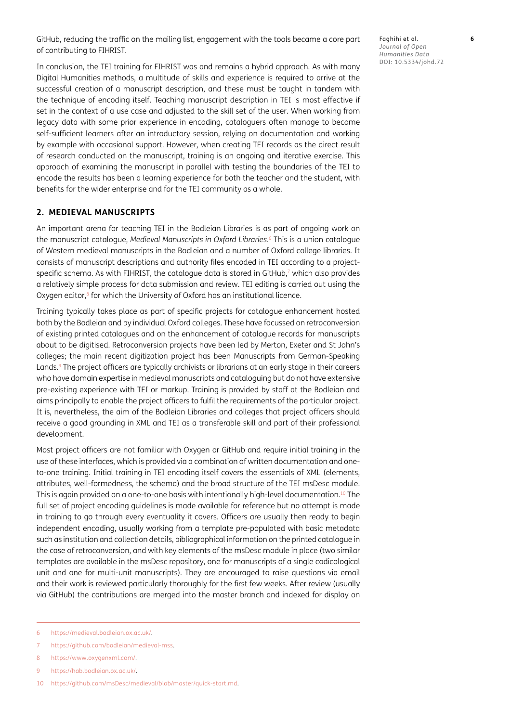GitHub, reducing the traffic on the mailing list, engagement with the tools became a core part of contributing to FIHRIST.

Faghihi et al. **6** *Journal of Open Humanities Data* DOI: 10.5334/johd.72

In conclusion, the TEI training for FIHRIST was and remains a hybrid approach. As with many Digital Humanities methods, a multitude of skills and experience is required to arrive at the successful creation of a manuscript description, and these must be taught in tandem with the technique of encoding itself. Teaching manuscript description in TEI is most effective if set in the context of a use case and adjusted to the skill set of the user. When working from legacy data with some prior experience in encoding, cataloguers often manage to become self-sufficient learners after an introductory session, relying on documentation and working by example with occasional support. However, when creating TEI records as the direct result of research conducted on the manuscript, training is an ongoing and iterative exercise. This approach of examining the manuscript in parallel with testing the boundaries of the TEI to encode the results has been a learning experience for both the teacher and the student, with benefits for the wider enterprise and for the TEI community as a whole.

#### **2. MEDIEVAL MANUSCRIPTS**

An important arena for teaching TEI in the Bodleian Libraries is as part of ongoing work on the manuscript catalogue, *Medieval Manuscripts in Oxford Libraries*. [6](#page-5-0) This is a union catalogue of Western medieval manuscripts in the Bodleian and a number of Oxford college libraries. It consists of manuscript descriptions and authority files encoded in TEI according to a projectspecific schema. As with FIHRIST, the catalogue data is stored in GitHub,<sup>7</sup> which also provides a relatively simple process for data submission and review. TEI editing is carried out using the Oxygen editor,<sup>8</sup> for which the University of Oxford has an institutional licence.

Training typically takes place as part of specific projects for catalogue enhancement hosted both by the Bodleian and by individual Oxford colleges. These have focussed on retroconversion of existing printed catalogues and on the enhancement of catalogue records for manuscripts about to be digitised. Retroconversion projects have been led by Merton, Exeter and St John's colleges; the main recent digitization project has been Manuscripts from German-Speaking Lands.<sup>9</sup> The project officers are typically archivists or librarians at an early stage in their careers who have domain expertise in medieval manuscripts and cataloguing but do not have extensive pre-existing experience with TEI or markup. Training is provided by staff at the Bodleian and aims principally to enable the project officers to fulfil the requirements of the particular project. It is, nevertheless, the aim of the Bodleian Libraries and colleges that project officers should receive a good grounding in XML and TEI as a transferable skill and part of their professional development.

Most project officers are not familiar with Oxygen or GitHub and require initial training in the use of these interfaces, which is provided via a combination of written documentation and oneto-one training. Initial training in TEI encoding itself covers the essentials of XML (elements, attributes, well-formedness, the schema) and the broad structure of the TEI msDesc module. This is again provided on a one-to-one basis with intentionally high-level documentation.<sup>10</sup> The full set of project encoding guidelines is made available for reference but no attempt is made in training to go through every eventuality it covers. Officers are usually then ready to begin independent encoding, usually working from a template pre-populated with basic metadata such as institution and collection details, bibliographical information on the printed catalogue in the case of retroconversion, and with key elements of the msDesc module in place (two similar templates are available in the msDesc repository, one for manuscripts of a single codicological unit and one for multi-unit manuscripts). They are encouraged to raise questions via email and their work is reviewed particularly thoroughly for the first few weeks. After review (usually via GitHub) the contributions are merged into the master branch and indexed for display on

<span id="page-5-0"></span><sup>6</sup> <https://medieval.bodleian.ox.ac.uk/>.

<span id="page-5-1"></span><sup>7</sup> [https://github.com/bodleian/medieval-mss.](https://github.com/bodleian/medieval-mss)

<span id="page-5-2"></span><sup>8</sup> [https://www.oxygenxml.com/.](https://www.oxygenxml.com/)

<span id="page-5-3"></span><sup>9</sup> <https://hab.bodleian.ox.ac.uk/>.

<span id="page-5-4"></span><sup>10</sup> [https://github.com/msDesc/medieval/blob/master/quick-start.md.](https://github.com/msDesc/medieval/blob/master/quick-start.md)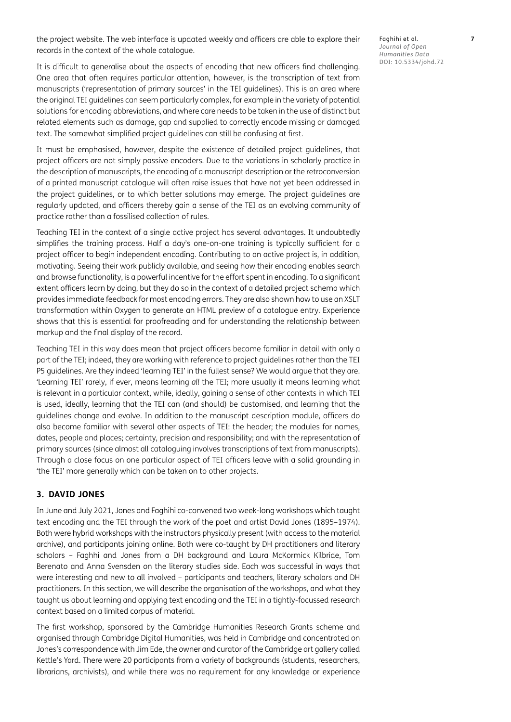the project website. The web interface is updated weekly and officers are able to explore their records in the context of the whole catalogue.

It is difficult to generalise about the aspects of encoding that new officers find challenging. One area that often requires particular attention, however, is the transcription of text from manuscripts ('representation of primary sources' in the TEI guidelines). This is an area where the original TEI guidelines can seem particularly complex, for example in the variety of potential solutions for encoding abbreviations, and where care needs to be taken in the use of distinct but related elements such as damage, gap and supplied to correctly encode missing or damaged text. The somewhat simplified project guidelines can still be confusing at first.

It must be emphasised, however, despite the existence of detailed project guidelines, that project officers are not simply passive encoders. Due to the variations in scholarly practice in the description of manuscripts, the encoding of a manuscript description or the retroconversion of a printed manuscript catalogue will often raise issues that have not yet been addressed in the project guidelines, or to which better solutions may emerge. The project guidelines are regularly updated, and officers thereby gain a sense of the TEI as an evolving community of practice rather than a fossilised collection of rules.

Teaching TEI in the context of a single active project has several advantages. It undoubtedly simplifies the training process. Half a day's one-on-one training is typically sufficient for a project officer to begin independent encoding. Contributing to an active project is, in addition, motivating. Seeing their work publicly available, and seeing how their encoding enables search and browse functionality, is a powerful incentive for the effort spent in encoding. To a significant extent officers learn by doing, but they do so in the context of a detailed project schema which provides immediate feedback for most encoding errors. They are also shown how to use an XSLT transformation within Oxygen to generate an HTML preview of a catalogue entry. Experience shows that this is essential for proofreading and for understanding the relationship between markup and the final display of the record.

Teaching TEI in this way does mean that project officers become familiar in detail with only a part of the TEI; indeed, they are working with reference to project guidelines rather than the TEI P5 guidelines. Are they indeed 'learning TEI' in the fullest sense? We would argue that they are. 'Learning TEI' rarely, if ever, means learning *all* the TEI; more usually it means learning what is relevant in a particular context, while, ideally, gaining a sense of other contexts in which TEI is used, ideally, learning that the TEI can (and should) be customised, and learning that the guidelines change and evolve. In addition to the manuscript description module, officers do also become familiar with several other aspects of TEI: the header; the modules for names, dates, people and places; certainty, precision and responsibility; and with the representation of primary sources (since almost all cataloguing involves transcriptions of text from manuscripts). Through a close focus on one particular aspect of TEI officers leave with a solid grounding in 'the TEI' more generally which can be taken on to other projects.

#### **3. DAVID JONES**

In June and July 2021, Jones and Faghihi co-convened two week-long workshops which taught text encoding and the TEI through the work of the poet and artist David Jones (1895–1974). Both were hybrid workshops with the instructors physically present (with access to the material archive), and participants joining online. Both were co-taught by DH practitioners and literary scholars – Faghhi and Jones from a DH background and Laura McKormick Kilbride, Tom Berenato and Anna Svensden on the literary studies side. Each was successful in ways that were interesting and new to all involved – participants and teachers, literary scholars and DH practitioners. In this section, we will describe the organisation of the workshops, and what they taught us about learning and applying text encoding and the TEI in a tightly-focussed research context based on a limited corpus of material.

The first workshop, sponsored by the Cambridge Humanities Research Grants scheme and organised through Cambridge Digital Humanities, was held in Cambridge and concentrated on Jones's correspondence with Jim Ede, the owner and curator of the Cambridge art gallery called Kettle's Yard. There were 20 participants from a variety of backgrounds (students, researchers, librarians, archivists), and while there was no requirement for any knowledge or experience

Faghihi et al. **7** *Journal of Open Humanities Data* DOI: 10.5334/johd.72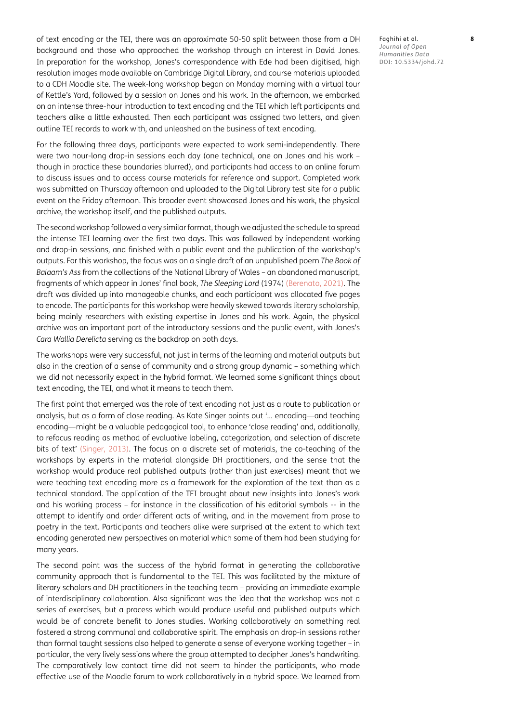of text encoding or the TEI, there was an approximate 50-50 split between those from a DH background and those who approached the workshop through an interest in David Jones. In preparation for the workshop, Jones's correspondence with Ede had been digitised, high resolution images made available on Cambridge Digital Library, and course materials uploaded to a CDH Moodle site. The week-long workshop began on Monday morning with a virtual tour of Kettle's Yard, followed by a session on Jones and his work. In the afternoon, we embarked on an intense three-hour introduction to text encoding and the TEI which left participants and teachers alike a little exhausted. Then each participant was assigned two letters, and given outline TEI records to work with, and unleashed on the business of text encoding.

For the following three days, participants were expected to work semi-independently. There were two hour-long drop-in sessions each day (one technical, one on Jones and his work – though in practice these boundaries blurred), and participants had access to an online forum to discuss issues and to access course materials for reference and support. Completed work was submitted on Thursday afternoon and uploaded to the Digital Library test site for a public event on the Friday afternoon. This broader event showcased Jones and his work, the physical archive, the workshop itself, and the published outputs.

The second workshop followed a very similar format, though we adjusted the schedule to spread the intense TEI learning over the first two days. This was followed by independent working and drop-in sessions, and finished with a public event and the publication of the workshop's outputs. For this workshop, the focus was on a single draft of an unpublished poem *The Book of Balaam's Ass* from the collections of the National Library of Wales – an abandoned manuscript, fragments of which appear in Jones' final book, *The Sleeping Lord* (1974) [\(Berenato, 2021](#page-12-2)). The draft was divided up into manageable chunks, and each participant was allocated five pages to encode. The participants for this workshop were heavily skewed towards literary scholarship, being mainly researchers with existing expertise in Jones and his work. Again, the physical archive was an important part of the introductory sessions and the public event, with Jones's *Cara Wallia Derelicta* serving as the backdrop on both days.

The workshops were very successful, not just in terms of the learning and material outputs but also in the creation of a sense of community and a strong group dynamic – something which we did not necessarily expect in the hybrid format. We learned some significant things about text encoding, the TEI, and what it means to teach them.

The first point that emerged was the role of text encoding not just as a route to publication or analysis, but as a form of close reading. As Kate Singer points out '… encoding—and teaching encoding—might be a valuable pedagogical tool, to enhance 'close reading' and, additionally, to refocus reading as method of evaluative labeling, categorization, and selection of discrete bits of text' [\(Singer, 2013](#page-13-6)). The focus on a discrete set of materials, the co-teaching of the workshops by experts in the material alongside DH practitioners, and the sense that the workshop would produce real published outputs (rather than just exercises) meant that we were teaching text encoding more as a framework for the exploration of the text than as a technical standard. The application of the TEI brought about new insights into Jones's work and his working process – for instance in the classification of his editorial symbols -- in the attempt to identify and order different acts of writing, and in the movement from prose to poetry in the text. Participants and teachers alike were surprised at the extent to which text encoding generated new perspectives on material which some of them had been studying for many years.

The second point was the success of the hybrid format in generating the collaborative community approach that is fundamental to the TEI. This was facilitated by the mixture of literary scholars and DH practitioners in the teaching team – providing an immediate example of interdisciplinary collaboration. Also significant was the idea that the workshop was not a series of exercises, but a process which would produce useful and published outputs which would be of concrete benefit to Jones studies. Working collaboratively on something real fostered a strong communal and collaborative spirit. The emphasis on drop-in sessions rather than formal taught sessions also helped to generate a sense of everyone working together – in particular, the very lively sessions where the group attempted to decipher Jones's handwriting. The comparatively low contact time did not seem to hinder the participants, who made effective use of the Moodle forum to work collaboratively in a hybrid space. We learned from Faghihi et al. **8** *Journal of Open Humanities Data* DOI: 10.5334/johd.72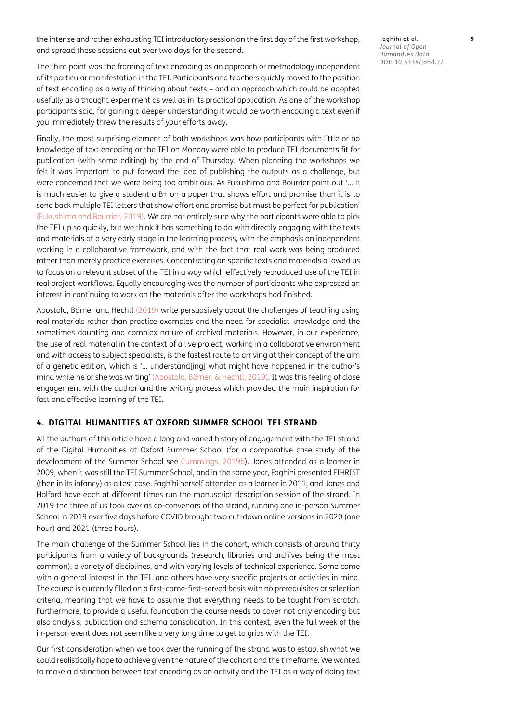the intense and rather exhausting TEI introductory session on the first day of the first workshop, and spread these sessions out over two days for the second.

The third point was the framing of text encoding as an approach or methodology independent of its particular manifestation in the TEI. Participants and teachers quickly moved to the position of text encoding as a way of thinking about texts – and an approach which could be adopted usefully as a thought experiment as well as in its practical application. As one of the workshop participants said, for gaining a deeper understanding it would be worth encoding a text even if you immediately threw the results of your efforts away.

Finally, the most surprising element of both workshops was how participants with little or no knowledge of text encoding or the TEI on Monday were able to produce TEI documents fit for publication (with some editing) by the end of Thursday. When planning the workshops we felt it was important to put forward the idea of publishing the outputs as a challenge, but were concerned that we were being too ambitious. As Fukushima and Bourrier point out '… it is much easier to give a student a  $B<sup>+</sup>$  on a paper that shows effort and promise than it is to send back multiple TEI letters that show effort and promise but must be perfect for publication' [\(Fukushima and Bourrier, 2019\)](#page-13-7). We are not entirely sure why the participants were able to pick the TEI up so quickly, but we think it has something to do with directly engaging with the texts and materials at a very early stage in the learning process, with the emphasis on independent working in a collaborative framework, and with the fact that real work was being produced rather than merely practice exercises. Concentrating on specific texts and materials allowed us to focus on a relevant subset of the TEI in a way which effectively reproduced use of the TEI in real project workflows. Equally encouraging was the number of participants who expressed an interest in continuing to work on the materials after the workshops had finished.

Apostolo, Börner and Hechtl (2019) write persuasively about the challenges of teaching using real materials rather than practice examples and the need for specialist knowledge and the sometimes daunting and complex nature of archival materials. However, in our experience, the use of real material in the context of a live project, working in a collaborative environment and with access to subject specialists, is the fastest route to arriving at their concept of the aim of a genetic edition, which is '… understand[ing] what might have happened in the author's mind while he or she was writing' (Apostolo, Börner, & Hechtl, 2019). It was this feeling of close engagement with the author and the writing process which provided the main inspiration for fast and effective learning of the TEI.

#### **4. DIGITAL HUMANITIES AT OXFORD SUMMER SCHOOL TEI STRAND**

All the authors of this article have a long and varied history of engagement with the TEI strand of the Digital Humanities at Oxford Summer School (for a comparative case study of the development of the Summer School see [Cummings, 2019b](#page-12-3)). Jones attended as a learner in 2009, when it was still the TEI Summer School, and in the same year, Faghihi presented FIHRIST (then in its infancy) as a test case. Faghihi herself attended as a learner in 2011, and Jones and Holford have each at different times run the manuscript description session of the strand. In 2019 the three of us took over as co-convenors of the strand, running one in-person Summer School in 2019 over five days before COVID brought two cut-down online versions in 2020 (one hour) and 2021 (three hours).

The main challenge of the Summer School lies in the cohort, which consists of around thirty participants from a variety of backgrounds (research, libraries and archives being the most common), a variety of disciplines, and with varying levels of technical experience. Some come with a general interest in the TEI, and others have very specific projects or activities in mind. The course is currently filled on a first-come-first-served basis with no prerequisites or selection criteria, meaning that we have to assume that everything needs to be taught from scratch. Furthermore, to provide a useful foundation the course needs to cover not only encoding but also analysis, publication and schema consolidation. In this context, even the full week of the in-person event does not seem like a very long time to get to grips with the TEI.

Our first consideration when we took over the running of the strand was to establish what we could realistically hope to achieve given the nature of the cohort and the timeframe. We wanted to make a distinction between text encoding as an activity and the TEI as a way of doing text Faghihi et al. **9** *Journal of Open Humanities Data* DOI: 10.5334/johd.72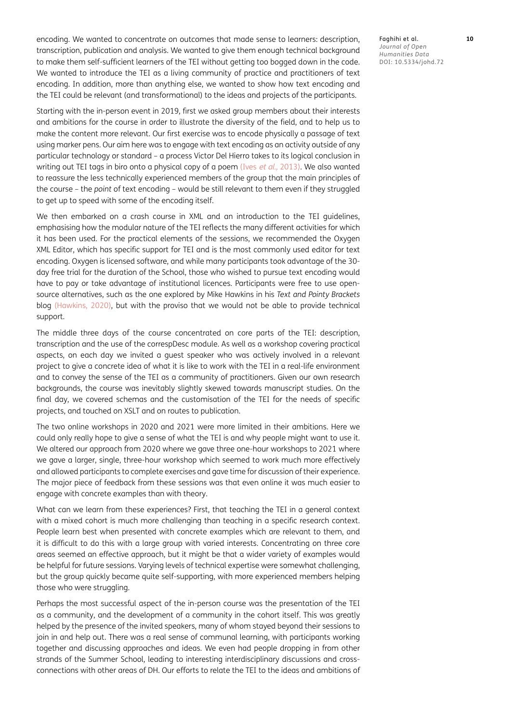encoding. We wanted to concentrate on outcomes that made sense to learners: description, transcription, publication and analysis. We wanted to give them enough technical background to make them self-sufficient learners of the TEI without getting too bogged down in the code. We wanted to introduce the TEI as a living community of practice and practitioners of text encoding. In addition, more than anything else, we wanted to show how text encoding and the TEI could be relevant (and transformational) to the ideas and projects of the participants.

Starting with the in-person event in 2019, first we asked group members about their interests and ambitions for the course in order to illustrate the diversity of the field, and to help us to make the content more relevant. Our first exercise was to encode physically a passage of text using marker pens. Our aim here was to engage with text encoding as an activity outside of any particular technology or standard – a process Victor Del Hierro takes to its logical conclusion in writing out TEI tags in biro onto a physical copy of a poem (Ives et al., [2013\)](#page-13-8). We also wanted to reassure the less technically experienced members of the group that the main principles of the course – the *point* of text encoding – would be still relevant to them even if they struggled to get up to speed with some of the encoding itself.

We then embarked on a crash course in XML and an introduction to the TEI guidelines, emphasising how the modular nature of the TEI reflects the many different activities for which it has been used. For the practical elements of the sessions, we recommended the Oxygen XML Editor, which has specific support for TEI and is the most commonly used editor for text encoding. Oxygen is licensed software, and while many participants took advantage of the 30 day free trial for the duration of the School, those who wished to pursue text encoding would have to pay or take advantage of institutional licences. Participants were free to use opensource alternatives, such as the one explored by Mike Hawkins in his *Text and Pointy Brackets* blog [\(Hawkins, 2020](#page-13-9)), but with the proviso that we would not be able to provide technical support.

The middle three days of the course concentrated on core parts of the TEI: description, transcription and the use of the correspDesc module. As well as a workshop covering practical aspects, on each day we invited a guest speaker who was actively involved in a relevant project to give a concrete idea of what it is like to work with the TEI in a real-life environment and to convey the sense of the TEI as a community of practitioners. Given our own research backgrounds, the course was inevitably slightly skewed towards manuscript studies. On the final day, we covered schemas and the customisation of the TEI for the needs of specific projects, and touched on XSLT and on routes to publication.

The two online workshops in 2020 and 2021 were more limited in their ambitions. Here we could only really hope to give a sense of what the TEI is and why people might want to use it. We altered our approach from 2020 where we gave three one-hour workshops to 2021 where we gave a larger, single, three-hour workshop which seemed to work much more effectively and allowed participants to complete exercises and gave time for discussion of their experience. The major piece of feedback from these sessions was that even online it was much easier to engage with concrete examples than with theory.

What can we learn from these experiences? First, that teaching the TEI in a general context with a mixed cohort is much more challenging than teaching in a specific research context. People learn best when presented with concrete examples which are relevant to them, and it is difficult to do this with a large group with varied interests. Concentrating on three core areas seemed an effective approach, but it might be that a wider variety of examples would be helpful for future sessions. Varying levels of technical expertise were somewhat challenging, but the group quickly became quite self-supporting, with more experienced members helping those who were struggling.

Perhaps the most successful aspect of the in-person course was the presentation of the TEI as a community, and the development of a community in the cohort itself. This was greatly helped by the presence of the invited speakers, many of whom stayed beyond their sessions to join in and help out. There was a real sense of communal learning, with participants working together and discussing approaches and ideas. We even had people dropping in from other strands of the Summer School, leading to interesting interdisciplinary discussions and crossconnections with other areas of DH. Our efforts to relate the TEI to the ideas and ambitions of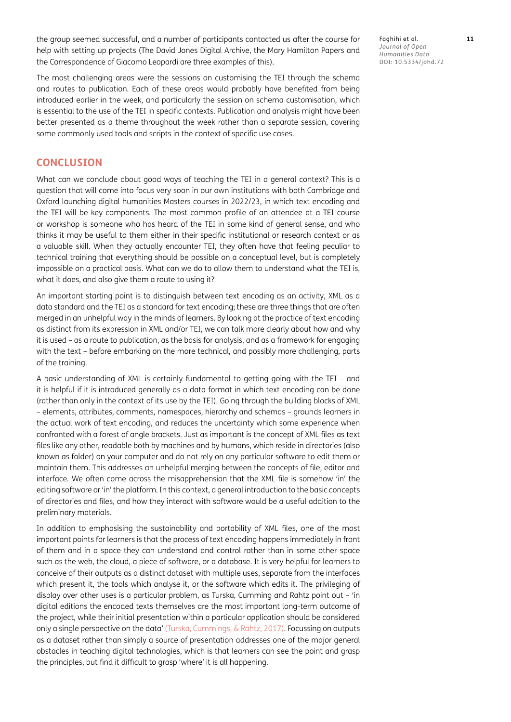the group seemed successful, and a number of participants contacted us after the course for help with setting up projects (The David Jones Digital Archive, the Mary Hamilton Papers and the Correspondence of Giacomo Leopardi are three examples of this).

The most challenging areas were the sessions on customising the TEI through the schema and routes to publication. Each of these areas would probably have benefited from being introduced earlier in the week, and particularly the session on schema customisation, which is essential to the use of the TEI in specific contexts. Publication and analysis might have been better presented as a theme throughout the week rather than a separate session, covering some commonly used tools and scripts in the context of specific use cases.

#### **CONCLUSION**

What can we conclude about good ways of teaching the TEI in a general context? This is a question that will come into focus very soon in our own institutions with both Cambridge and Oxford launching digital humanities Masters courses in 2022/23, in which text encoding and the TEI will be key components. The most common profile of an attendee at a TEI course or workshop is someone who has heard of the TEI in some kind of general sense, and who thinks it may be useful to them either in their specific institutional or research context or as a valuable skill. When they actually encounter TEI, they often have that feeling peculiar to technical training that everything should be possible on a conceptual level, but is completely impossible on a practical basis. What can we do to allow them to understand what the TEI is, what it does, and also give them a route to using it?

An important starting point is to distinguish between text encoding as an activity, XML as a data standard and the TEI as a standard for text encoding; these are three things that are often merged in an unhelpful way in the minds of learners. By looking at the practice of text encoding as distinct from its expression in XML and/or TEI, we can talk more clearly about how and why it is used – as a route to publication, as the basis for analysis, and as a framework for engaging with the text – before embarking on the more technical, and possibly more challenging, parts of the training.

A basic understanding of XML is certainly fundamental to getting going with the TEI – and it is helpful if it is introduced generally as a data format in which text encoding can be done (rather than only in the context of its use by the TEI). Going through the building blocks of XML – elements, attributes, comments, namespaces, hierarchy and schemas – grounds learners in the actual work of text encoding, and reduces the uncertainty which some experience when confronted with a forest of angle brackets. Just as important is the concept of XML files as text files like any other, readable both by machines and by humans, which reside in directories (also known as folder) on your computer and do not rely on any particular software to edit them or maintain them. This addresses an unhelpful merging between the concepts of file, editor and interface. We often come across the misapprehension that the XML file is somehow 'in' the editing software or 'in' the platform. In this context, a general introduction to the basic concepts of directories and files, and how they interact with software would be a useful addition to the preliminary materials.

In addition to emphasising the sustainability and portability of XML files, one of the most important points for learners is that the process of text encoding happens immediately in front of them and in a space they can understand and control rather than in some other space such as the web, the cloud, a piece of software, or a database. It is very helpful for learners to conceive of their outputs as a distinct dataset with multiple uses, separate from the interfaces which present it, the tools which analyse it, or the software which edits it. The privileging of display over other uses is a particular problem, as Turska, Cumming and Rahtz point out – 'in digital editions the encoded texts themselves are the most important long-term outcome of the project, while their initial presentation within a particular application should be considered only a single perspective on the data' [\(Turska, Cummings, & Rahtz, 2017](#page-13-10)). Focussing on outputs as a dataset rather than simply a source of presentation addresses one of the major general obstacles in teaching digital technologies, which is that learners can see the point and grasp the principles, but find it difficult to grasp 'where' it is all happening.

Faghihi et al. **11** *Journal of Open Humanities Data* DOI: 10.5334/johd.72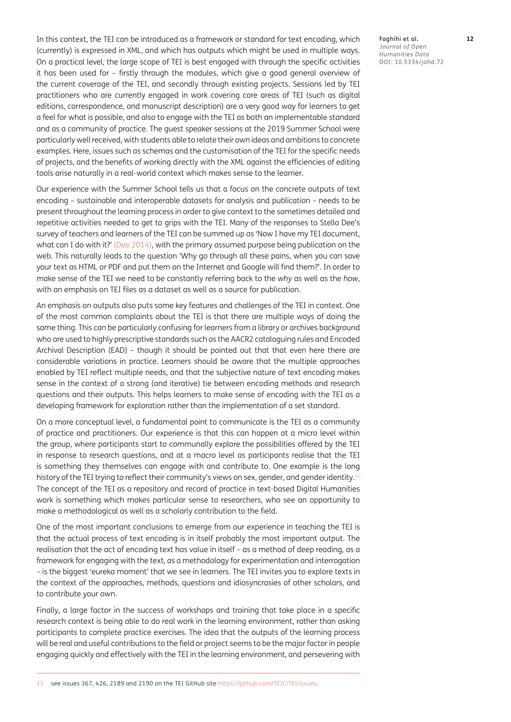In this context, the TEI can be introduced as a framework or standard for text encoding, which (currently) is expressed in XML, and which has outputs which might be used in multiple ways. On a practical level, the large scope of TEI is best engaged with through the specific activities it has been used for – firstly through the modules, which give a good general overview of the current coverage of the TEI, and secondly through existing projects. Sessions led by TEI practitioners who are currently engaged in work covering core areas of TEI (such as digital editions, correspondence, and manuscript description) are a very good way for learners to get a feel for what is possible, and also to engage with the TEI as both an implementable standard and as a community of practice. The guest speaker sessions at the 2019 Summer School were particularly well received, with students able to relate their own ideas and ambitions to concrete examples. Here, issues such as schemas and the customisation of the TEI for the specific needs of projects, and the benefits of working directly with the XML against the efficiencies of editing tools arise naturally in a real-world context which makes sense to the learner.

Our experience with the Summer School tells us that a focus on the concrete outputs of text encoding – sustainable and interoperable datasets for analysis and publication – needs to be present throughout the learning process in order to give context to the sometimes detailed and repetitive activities needed to get to grips with the TEI. Many of the responses to Stella Dee's survey of teachers and learners of the TEI can be summed up as 'Now I have my TEI document, what can I do with it?' ([Dee 2014\)](#page-12-4), with the primary assumed purpose being publication on the web. This naturally leads to the question 'Why go through all these pains, when you can save your text as HTML or PDF and put them on the Internet and Google will find them?'. In order to make sense of the TEI we need to be constantly referring back to the *why* as well as the *how*, with an emphasis on TEI files as a dataset as well as a source for publication.

An emphasis on outputs also puts some key features and challenges of the TEI in context. One of the most common complaints about the TEI is that there are multiple ways of doing the same thing. This can be particularly confusing for learners from a library or archives background who are used to highly prescriptive standards such as the AACR2 cataloguing rules and Encoded Archival Description (EAD) – though it should be pointed out that that even here there are considerable variations in practice. Learners should be aware that the multiple approaches enabled by TEI reflect multiple needs, and that the subjective nature of text encoding makes sense in the context of a strong (and iterative) tie between encoding methods and research questions and their outputs. This helps learners to make sense of encoding with the TEI as a developing framework for exploration rather than the implementation of a set standard.

On a more conceptual level, a fundamental point to communicate is the TEI as a community of practice and practitioners. Our experience is that this can happen at a micro level within the group, where participants start to communally explore the possibilities offered by the TEI in response to research questions, and at a macro level as participants realise that the TEI is something they themselves can engage with and contribute to. One example is the long history of the TEI trying to reflect their community's views on sex, gender, and gender identity.<sup>[11](#page-11-0)</sup> The concept of the TEI as a repository and record of practice in text-based Digital Humanities work is something which makes particular sense to researchers, who see an opportunity to make a methodological as well as a scholarly contribution to the field.

One of the most important conclusions to emerge from our experience in teaching the TEI is that the actual process of text encoding is in itself probably the most important output. The realisation that the act of encoding text has value in itself – as a method of deep reading, as a framework for engaging with the text, as a methodology for experimentation and interrogation – is the biggest 'eureka moment' that we see in learners. The TEI invites you to explore texts in the context of the approaches, methods, questions and idiosyncrasies of other scholars, and to contribute your own.

<span id="page-11-0"></span>Finally, a large factor in the success of workshops and training that take place in a specific research context is being able to do real work in the learning environment, rather than asking participants to complete practice exercises. The idea that the outputs of the learning process will be real and useful contributions to the field or project seems to be the major factor in people engaging quickly and effectively with the TEI in the learning environment, and persevering with Faghihi et al. **12** *Journal of Open Humanities Data* DOI: 10.5334/johd.72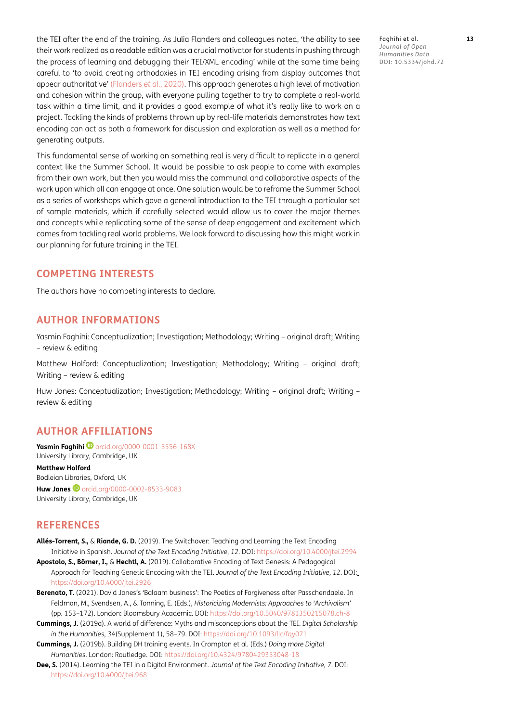the TEI after the end of the training. As Julia Flanders and colleagues noted, 'the ability to see their work realized as a readable edition was a crucial motivator for students in pushing through the process of learning and debugging their TEI/XML encoding' while at the same time being careful to 'to avoid creating orthodoxies in TEI encoding arising from display outcomes that appear authoritative' ([Flanders](#page-13-11) *et al.*, 2020). This approach generates a high level of motivation and cohesion within the group, with everyone pulling together to try to complete a real-world task within a time limit, and it provides a good example of what it's really like to work on a project. Tackling the kinds of problems thrown up by real-life materials demonstrates how text encoding can act as both a framework for discussion and exploration as well as a method for generating outputs.

This fundamental sense of working on something real is very difficult to replicate in a general context like the Summer School. It would be possible to ask people to come with examples from their own work, but then you would miss the communal and collaborative aspects of the work upon which all can engage at once. One solution would be to reframe the Summer School as a series of workshops which gave a general introduction to the TEI through a particular set of sample materials, which if carefully selected would allow us to cover the major themes and concepts while replicating some of the sense of deep engagement and excitement which comes from tackling real world problems. We look forward to discussing how this might work in our planning for future training in the TEI.

#### **COMPETING INTERESTS**

The authors have no competing interests to declare.

#### **AUTHOR INFORMATIONS**

Yasmin Faghihi: Conceptualization; Investigation; Methodology; Writing – original draft; Writing – review & editing

Matthew Holford: Conceptualization; Investigation; Methodology; Writing – original draft; Writing – review & editing

Huw Jones: Conceptualization; Investigation; Methodology; Writing – original draft; Writing – review & editing

#### <span id="page-12-0"></span>**AUTHOR AFFILIATIONS**

**YasminFaghihi D** [orcid.org/0000-0001-5556-168X](https://orcid.org/0000-0001-5556-168X) University Library, Cambridge, UK

**Matthew Holford** Bodleian Libraries, Oxford, UK **HuwJones D** [orcid.org/0000-0002-8533-9083](https://orcid.org/0000-0002-8533-9083) University Library, Cambridge, UK

#### **REFERENCES**

- **Allés-Torrent, S.,** & **Riande, G. D.** (2019). The Switchover: Teaching and Learning the Text Encoding Initiative in Spanish. *Journal of the Text Encoding Initiative*, *12*. DOI:<https://doi.org/10.4000/jtei.2994>
- **Apostolo, S., Börner, I.,** & **Hechtl, A.** (2019). Collaborative Encoding of Text Genesis: A Pedagogical Approach for Teaching Genetic Encoding with the TEI. *Journal of the Text Encoding Initiative, 12*. DOI: <https://doi.org/10.4000/jtei.2926>
- <span id="page-12-2"></span>**Berenato, T.** (2021). David Jones's 'Balaam business': The Poetics of Forgiveness after Passchendaele. In Feldman, M., Svendsen, A., & Tonning, E. (Eds.), *Historicizing Modernists: Approaches to 'Archivalism'* (pp. 153–172). London: Bloomsbury Academic. DOI: <https://doi.org/10.5040/9781350215078.ch-8>
- <span id="page-12-1"></span>**Cummings, J.** (2019a). A world of difference: Myths and misconceptions about the TEI. *Digital Scholarship in the Humanities*, *34*(Supplement 1), 58–79. DOI:<https://doi.org/10.1093/llc/fqy071>
- <span id="page-12-3"></span>**Cummings, J.** (2019b). Building DH training events. In Crompton et al. (Eds.) *Doing more Digital Humanities*. London: Routledge. DOI: <https://doi.org/10.4324/9780429353048-18>
- <span id="page-12-4"></span>**Dee, S.** (2014). Learning the TEI in a Digital Environment. *Journal of the Text Encoding Initiative, 7*. DOI: <https://doi.org/10.4000/jtei.968>

Faghihi et al. **13** *Journal of Open Humanities Data* DOI: 10.5334/johd.72